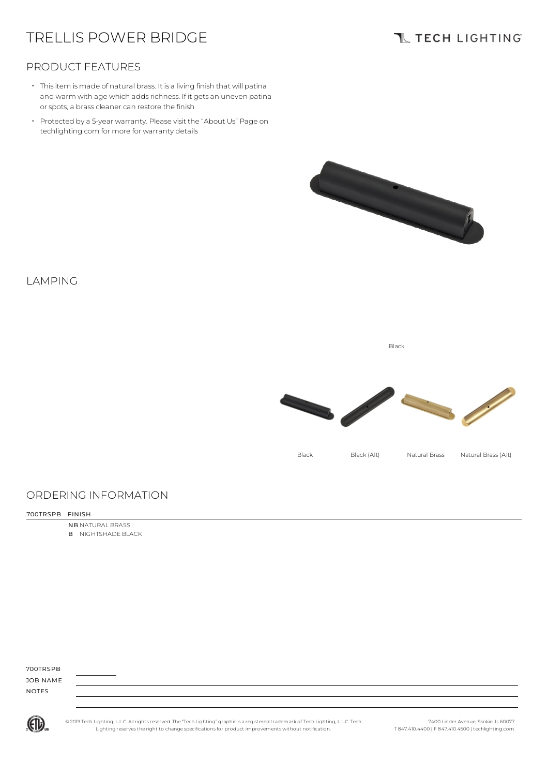# TRELLIS POWER BRIDGE

# **TL TECH LIGHTING**

### PRODUCT FEATURES

- Thisitem is made of natural brass. It is a living finish that will patina and warm with age which adds richness. If it gets an uneven patina or spots, a brass cleaner can restore the finish
- Protected by a 5-year warranty. Please visit the "About Us" Page on techlighting.com for more for warranty details



### LAMPING

Black



### ORDERING INFORMATION

#### 700TRSPB FINISH

NB NATURAL BRASS **B** NIGHTSHADE BLACK

700TRSPB JOB NAME NOTES



© 2019 Tech Lighting, L.L.C. All rightsreserved. The "Tech Lighting" graphicis a registered trademark of Tech Lighting, L.L.C. Tech Lighting reservesthe right to change specificationsfor product improvements without notification.